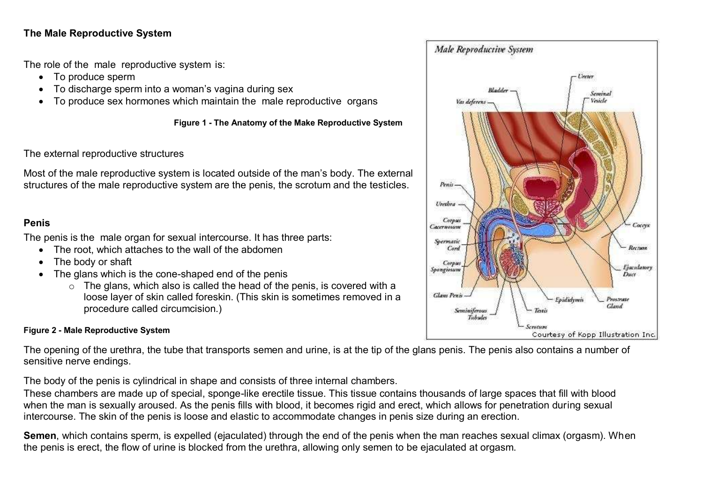### **The Male Reproductive System**

The role of the male reproductive system is:

- To produce sperm
- To discharge sperm into a woman's vagina during sex
- To produce sex hormones which maintain the male reproductive organs

**Figure 1 - The Anatomy of the Make Reproductive System**

The external reproductive structures

Most of the male reproductive system is located outside of the man's body. The external structures of the male reproductive system are the penis, the scrotum and the testicles.

### **Penis**

The penis is the male organ for sexual intercourse. It has three parts:

- The root, which attaches to the wall of the abdomen
- The body or shaft
- The glans which is the cone-shaped end of the penis
	- $\circ$  The glans, which also is called the head of the penis, is covered with a loose layer of skin called foreskin. (This skin is sometimes removed in a procedure called circumcision.)

### **Figure 2 - Male Reproductive System**

The opening of the urethra, the tube that transports semen and urine, is at the tip of the glans penis. The penis also contains a number of sensitive nerve endings.

The body of the penis is cylindrical in shape and consists of three internal chambers.

These chambers are made up of special, sponge-like erectile tissue. This tissue contains thousands of large spaces that fill with blood when the man is sexually aroused. As the penis fills with blood, it becomes rigid and erect, which allows for penetration during sexual intercourse. The skin of the penis is loose and elastic to accommodate changes in penis size during an erection.

**Semen**, which contains sperm, is expelled (ejaculated) through the end of the penis when the man reaches sexual climax (orgasm). When the penis is erect, the flow of urine is blocked from the urethra, allowing only semen to be ejaculated at orgasm.

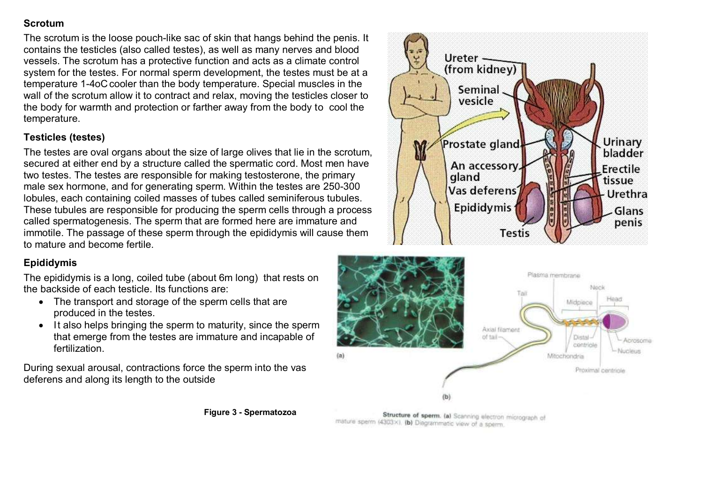### **Scrotum**

The scrotum is the loose pouch-like sac of skin that hangs behind the penis. It contains the testicles (also called testes), as well as many nerves and blood vessels. The scrotum has a protective function and acts as a climate control system for the testes. For normal sperm development, the testes must be at a temperature 1-4oC cooler than the body temperature. Special muscles in the wall of the scrotum allow it to contract and relax, moving the testicles closer to the body for warmth and protection or farther away from the body to cool the temperature.

## **Testicles (testes)**

The testes are oval organs about the size of large olives that lie in the scrotum, secured at either end by a structure called the spermatic cord. Most men have two testes. The testes are responsible for making testosterone, the primary male sex hormone, and for generating sperm. Within the testes are 250-300 lobules, each containing coiled masses of tubes called seminiferous tubules. These tubules are responsible for producing the sperm cells through a process called spermatogenesis. The sperm that are formed here are immature and immotile. The passage of these sperm through the epididymis will cause them to mature and become fertile.

# **Epididymis**

The epididymis is a long, coiled tube (about 6m long) that rests on the backside of each testicle. Its functions are:

- The transport and storage of the sperm cells that are produced in the testes.
- It also helps bringing the sperm to maturity, since the sperm that emerge from the testes are immature and incapable of **fertilization**

During sexual arousal, contractions force the sperm into the vas deferens and along its length to the outside





Structure of sperm. (a) Scanning electron micrograph of mature sperm (4303×). (b) Diagrammatic view of a sperm.

**Figure 3 - Spermatozoa**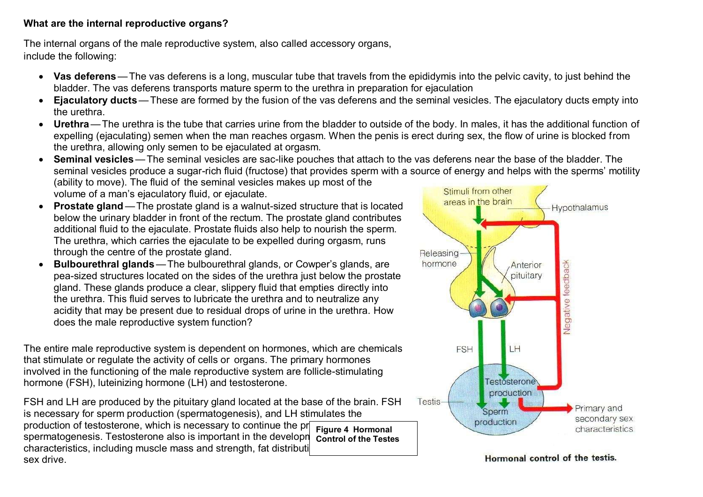### **What are the internal reproductive organs?**

The internal organs of the male reproductive system, also called accessory organs, include the following:

- **Vas deferens**—The vas deferens is a long, muscular tube that travels from the epididymis into the pelvic cavity, to just behind the bladder. The vas deferens transports mature sperm to the urethra in preparation for ejaculation
- **Ejaculatory ducts**—These are formed by the fusion of the vas deferens and the seminal vesicles. The ejaculatory ducts empty into the urethra.
- **Urethra**—The urethra is the tube that carries urine from the bladder to outside of the body. In males, it has the additional function of expelling (ejaculating) semen when the man reaches orgasm. When the penis is erect during sex, the flow of urine is blocked from the urethra, allowing only semen to be ejaculated at orgasm.
- **Seminal vesicles**—The seminal vesicles are sac-like pouches that attach to the vas deferens near the base of the bladder. The seminal vesicles produce a sugar-rich fluid (fructose) that provides sperm with a source of energy and helps with the sperms' motility (ability to move). The fluid of the seminal vesicles makes up most of the Stimuli from other volume of a man's ejaculatory fluid, or ejaculate.
- **Prostate gland** The prostate gland is a walnut-sized structure that is located below the urinary bladder in front of the rectum. The prostate gland contributes additional fluid to the ejaculate. Prostate fluids also help to nourish the sperm. The urethra, which carries the ejaculate to be expelled during orgasm, runs through the centre of the prostate gland.
- **Bulbourethral glands**—The bulbourethral glands, or Cowper's glands, are pea-sized structures located on the sides of the urethra just below the prostate gland. These glands produce a clear, slippery fluid that empties directly into the urethra. This fluid serves to lubricate the urethra and to neutralize any acidity that may be present due to residual drops of urine in the urethra. How does the male reproductive system function?

The entire male reproductive system is dependent on hormones, which are chemicals that stimulate or regulate the activity of cells or organs. The primary hormones involved in the functioning of the male reproductive system are follicle-stimulating hormone (FSH), luteinizing hormone (LH) and testosterone.

FSH and LH are produced by the pituitary gland located at the base of the brain. FSH is necessary for sperm production (spermatogenesis), and LH stimulates the production of testosterone, which is necessary to continue the prospermatogenesis. Testosterone also is important in the development of male. characteristics, including muscle mass and strength, fat distribution, sex drive. **Figure 4 Hormonal Control of the Testes**



Hormonal control of the testis.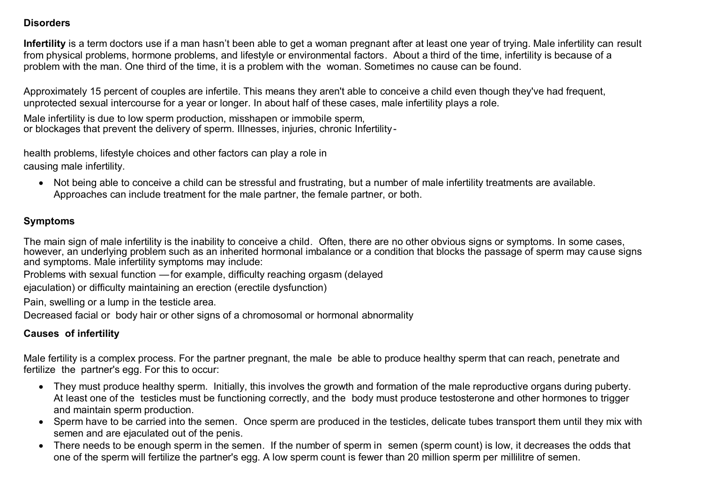#### **Disorders**

**Infertility** is a term doctors use if a man hasn't been able to get a woman pregnant after at least one year of trying. Male infertility can result from physical problems, hormone problems, and lifestyle or environmental factors. About a third of the time, infertility is because of a problem with the man. One third of the time, it is a problem with the woman. Sometimes no cause can be found.

Approximately 15 percent of couples are infertile. This means they aren't able to conceive a child even though they've had frequent, unprotected sexual intercourse for a year or longer. In about half of these cases, male infertility plays a role.

Male infertility is due to low sperm production, misshapen or immobile sperm, or blockages that prevent the delivery of sperm. Illnesses, injuries, chronic Infertility-

health problems, lifestyle choices and other factors can play a role in causing male infertility.

 Not being able to conceive a child can be stressful and frustrating, but a number of male infertility treatments are available. Approaches can include treatment for the male partner, the female partner, or both.

### **Symptoms**

The main sign of male infertility is the inability to conceive a child. Often, there are no other obvious signs or symptoms. In some cases, however, an underlying problem such as an inherited hormonal imbalance or a condition that blocks the passage of sperm may cause signs and symptoms. Male infertility symptoms may include:

Problems with sexual function —for example, difficulty reaching orgasm (delayed

ejaculation) or difficulty maintaining an erection (erectile dysfunction)

Pain, swelling or a lump in the testicle area.

Decreased facial or body hair or other signs of a chromosomal or hormonal abnormality

## **Causes of infertility**

Male fertility is a complex process. For the partner pregnant, the male be able to produce healthy sperm that can reach, penetrate and fertilize the partner's egg. For this to occur:

- They must produce healthy sperm. Initially, this involves the growth and formation of the male reproductive organs during puberty. At least one of the testicles must be functioning correctly, and the body must produce testosterone and other hormones to trigger and maintain sperm production.
- Sperm have to be carried into the semen. Once sperm are produced in the testicles, delicate tubes transport them until they mix with semen and are ejaculated out of the penis.
- There needs to be enough sperm in the semen. If the number of sperm in semen (sperm count) is low, it decreases the odds that one of the sperm will fertilize the partner's egg. A low sperm count is fewer than 20 million sperm per millilitre of semen.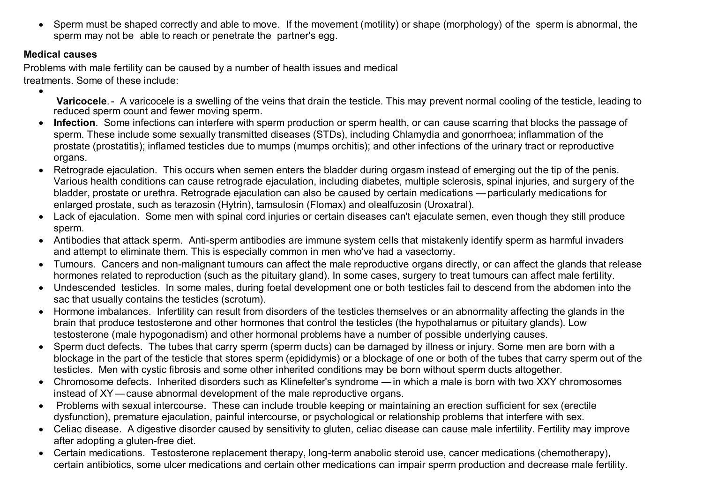Sperm must be shaped correctly and able to move. If the movement (motility) or shape (morphology) of the sperm is abnormal, the sperm may not be able to reach or penetrate the partner's egg.

## **Medical causes**

 $\bullet$ 

Problems with male fertility can be caused by a number of health issues and medical treatments. Some of these include:

- **Varicocele**.- A varicocele is a swelling of the veins that drain the testicle. This may prevent normal cooling of the testicle, leading to reduced sperm count and fewer moving sperm.
- **Infection**. Some infections can interfere with sperm production or sperm health, or can cause scarring that blocks the passage of sperm. These include some sexually transmitted diseases (STDs), including Chlamydia and gonorrhoea; inflammation of the prostate (prostatitis); inflamed testicles due to mumps (mumps orchitis); and other infections of the urinary tract or reproductive organs.
- Retrograde ejaculation. This occurs when semen enters the bladder during orgasm instead of emerging out the tip of the penis. Various health conditions can cause retrograde ejaculation, including diabetes, multiple sclerosis, spinal injuries, and surgery of the bladder, prostate or urethra. Retrograde ejaculation can also be caused by certain medications —particularly medications for enlarged prostate, such as terazosin (Hytrin), tamsulosin (Flomax) and olealfuzosin (Uroxatral).
- Lack of ejaculation. Some men with spinal cord injuries or certain diseases can't ejaculate semen, even though they still produce sperm.
- Antibodies that attack sperm. Anti-sperm antibodies are immune system cells that mistakenly identify sperm as harmful invaders and attempt to eliminate them. This is especially common in men who've had a vasectomy.
- Tumours. Cancers and non-malignant tumours can affect the male reproductive organs directly, or can affect the glands that release hormones related to reproduction (such as the pituitary gland). In some cases, surgery to treat tumours can affect male fertility.
- Undescended testicles. In some males, during foetal development one or both testicles fail to descend from the abdomen into the sac that usually contains the testicles (scrotum).
- Hormone imbalances. Infertility can result from disorders of the testicles themselves or an abnormality affecting the glands in the brain that produce testosterone and other hormones that control the testicles (the hypothalamus or pituitary glands). Low testosterone (male hypogonadism) and other hormonal problems have a number of possible underlying causes.
- Sperm duct defects. The tubes that carry sperm (sperm ducts) can be damaged by illness or injury. Some men are born with a blockage in the part of the testicle that stores sperm (epididymis) or a blockage of one or both of the tubes that carry sperm out of the testicles. Men with cystic fibrosis and some other inherited conditions may be born without sperm ducts altogether.
- Chromosome defects. Inherited disorders such as Klinefelter's syndrome —in which a male is born with two XXY chromosomes instead of XY—cause abnormal development of the male reproductive organs.
- Problems with sexual intercourse. These can include trouble keeping or maintaining an erection sufficient for sex (erectile dysfunction), premature ejaculation, painful intercourse, or psychological or relationship problems that interfere with sex.
- Celiac disease. A digestive disorder caused by sensitivity to gluten, celiac disease can cause male infertility. Fertility may improve after adopting a gluten-free diet.
- Certain medications. Testosterone replacement therapy, long-term anabolic steroid use, cancer medications (chemotherapy), certain antibiotics, some ulcer medications and certain other medications can impair sperm production and decrease male fertility.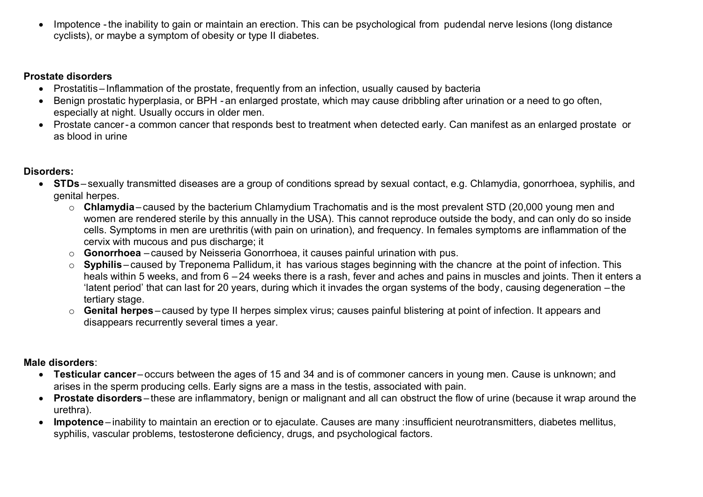Impotence -the inability to gain or maintain an erection. This can be psychological from pudendal nerve lesions (long distance cyclists), or maybe a symptom of obesity or type II diabetes.

### **Prostate disorders**

- Prostatitis Inflammation of the prostate, frequently from an infection, usually caused by bacteria
- Benign prostatic hyperplasia, or BPH an enlarged prostate, which may cause dribbling after urination or a need to go often, especially at night. Usually occurs in older men.
- Prostate cancer- a common cancer that responds best to treatment when detected early. Can manifest as an enlarged prostate or as blood in urine

# **Disorders:**

- **STDs** sexually transmitted diseases are a group of conditions spread by sexual contact, e.g. Chlamydia, gonorrhoea, syphilis, and genital herpes.
	- o **Chlamydia** caused by the bacterium Chlamydium Trachomatis and is the most prevalent STD (20,000 young men and women are rendered sterile by this annually in the USA). This cannot reproduce outside the body, and can only do so inside cells. Symptoms in men are urethritis (with pain on urination), and frequency. In females symptoms are inflammation of the cervix with mucous and pus discharge; it
	- o **Gonorrhoea** caused by Neisseria Gonorrhoea, it causes painful urination with pus.
	- o **Syphilis** caused by Treponema Pallidum, it has various stages beginning with the chancre at the point of infection. This heals within 5 weeks, and from 6 – 24 weeks there is a rash, fever and aches and pains in muscles and joints. Then it enters a 'latent period' that can last for 20 years, during which it invades the organ systems of the body, causing degeneration – the tertiary stage.
	- o **Genital herpes** caused by type II herpes simplex virus; causes painful blistering at point of infection. It appears and disappears recurrently several times a year.

# **Male disorders**:

- **Testicular cancer** occurs between the ages of 15 and 34 and is of commoner cancers in young men. Cause is unknown; and arises in the sperm producing cells. Early signs are a mass in the testis, associated with pain.
- **Prostate disorders** these are inflammatory, benign or malignant and all can obstruct the flow of urine (because it wrap around the urethra).
- **Impotence** inability to maintain an erection or to ejaculate. Causes are many :insufficient neurotransmitters, diabetes mellitus, syphilis, vascular problems, testosterone deficiency, drugs, and psychological factors.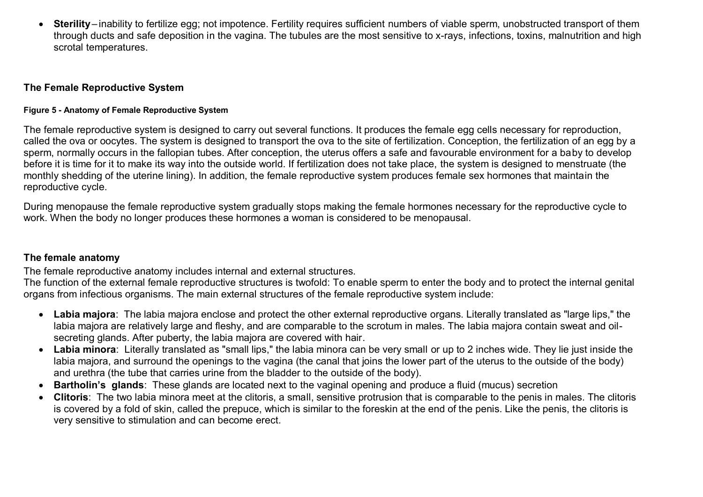**Sterility**– inability to fertilize egg; not impotence. Fertility requires sufficient numbers of viable sperm, unobstructed transport of them through ducts and safe deposition in the vagina. The tubules are the most sensitive to x-rays, infections, toxins, malnutrition and high scrotal temperatures.

#### **The Female Reproductive System**

#### **Figure 5 - Anatomy of Female Reproductive System**

The female reproductive system is designed to carry out several functions. It produces the female egg cells necessary for reproduction, called the ova or oocytes. The system is designed to transport the ova to the site of fertilization. Conception, the fertilization of an egg by a sperm, normally occurs in the fallopian tubes. After conception, the uterus offers a safe and favourable environment for a baby to develop before it is time for it to make its way into the outside world. If fertilization does not take place, the system is designed to menstruate (the monthly shedding of the uterine lining). In addition, the female reproductive system produces female sex hormones that maintain the reproductive cycle.

During menopause the female reproductive system gradually stops making the female hormones necessary for the reproductive cycle to work. When the body no longer produces these hormones a woman is considered to be menopausal.

#### **The female anatomy**

The female reproductive anatomy includes internal and external structures.

The function of the external female reproductive structures is twofold: To enable sperm to enter the body and to protect the internal genital organs from infectious organisms. The main external structures of the female reproductive system include:

- **Labia majora**: The labia majora enclose and protect the other external reproductive organs. Literally translated as "large lips," the labia majora are relatively large and fleshy, and are comparable to the scrotum in males. The labia majora contain sweat and oilsecreting glands. After puberty, the labia majora are covered with hair.
- **Labia minora**: Literally translated as "small lips," the labia minora can be very small or up to 2 inches wide. They lie just inside the labia majora, and surround the openings to the vagina (the canal that joins the lower part of the uterus to the outside of the body) and urethra (the tube that carries urine from the bladder to the outside of the body).
- **Bartholin's glands**: These glands are located next to the vaginal opening and produce a fluid (mucus) secretion
- **Clitoris**: The two labia minora meet at the clitoris, a small, sensitive protrusion that is comparable to the penis in males. The clitoris is covered by a fold of skin, called the prepuce, which is similar to the foreskin at the end of the penis. Like the penis, the clitoris is very sensitive to stimulation and can become erect.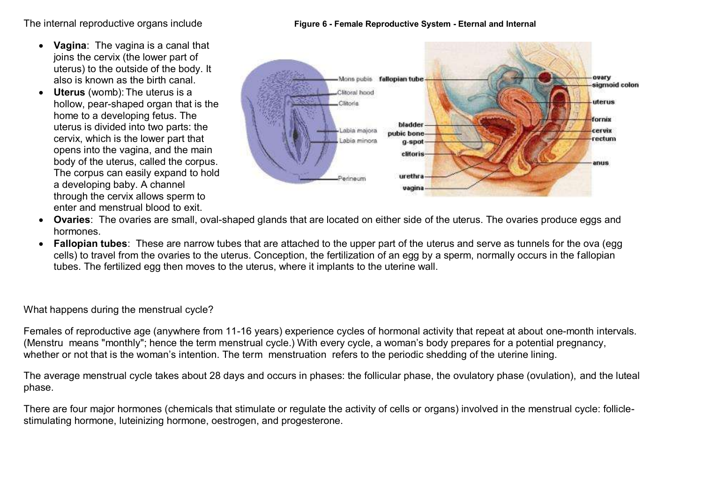The internal reproductive organs include **Figure 6 - Female Reproductive System - Eternal and Internal**

- **Vagina**: The vagina is a canal that joins the cervix (the lower part of uterus) to the outside of the body. It also is known as the birth canal.
- **Uterus** (womb): The uterus is a hollow, pear-shaped organ that is the home to a developing fetus. The uterus is divided into two parts: the cervix, which is the lower part that opens into the vagina, and the main body of the uterus, called the corpus. The corpus can easily expand to hold a developing baby. A channel through the cervix allows sperm to enter and menstrual blood to exit.





- **Ovaries**: The ovaries are small, oval-shaped glands that are located on either side of the uterus. The ovaries produce eggs and hormones.
- **Fallopian tubes**: These are narrow tubes that are attached to the upper part of the uterus and serve as tunnels for the ova (egg cells) to travel from the ovaries to the uterus. Conception, the fertilization of an egg by a sperm, normally occurs in the fallopian tubes. The fertilized egg then moves to the uterus, where it implants to the uterine wall.

What happens during the menstrual cycle?

Females of reproductive age (anywhere from 11-16 years) experience cycles of hormonal activity that repeat at about one-month intervals. (Menstru means "monthly"; hence the term menstrual cycle.) With every cycle, a woman's body prepares for a potential pregnancy, whether or not that is the woman's intention. The term menstruation refers to the periodic shedding of the uterine lining.

The average menstrual cycle takes about 28 days and occurs in phases: the follicular phase, the ovulatory phase (ovulation), and the luteal phase.

There are four major hormones (chemicals that stimulate or regulate the activity of cells or organs) involved in the menstrual cycle: folliclestimulating hormone, luteinizing hormone, oestrogen, and progesterone.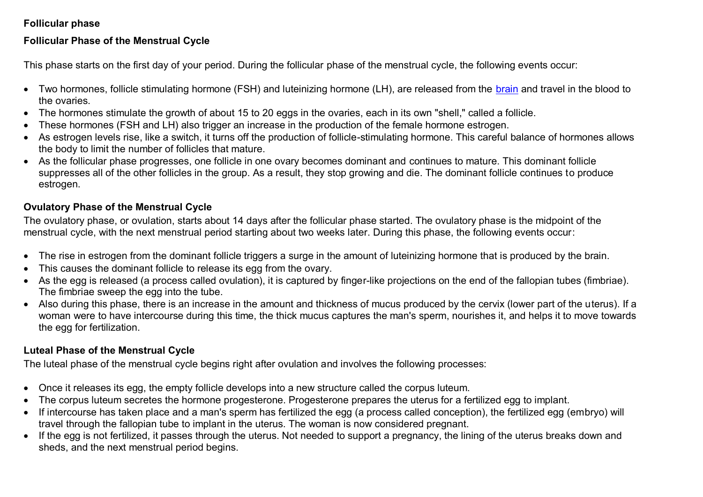### **Follicular phase**

### **Follicular Phase of the Menstrual Cycle**

This phase starts on the first day of your period. During the follicular phase of the menstrual cycle, the following events occur:

- Two hormones, follicle stimulating hormone (FSH) and luteinizing hormone (LH), are released from the [brain](http://www.webmd.com/brain/picture-of-the-brain) and travel in the blood to the ovaries.
- The hormones stimulate the growth of about 15 to 20 eggs in the ovaries, each in its own "shell," called a follicle.
- These hormones (FSH and LH) also trigger an increase in the production of the female hormone estrogen.
- As estrogen levels rise, like a switch, it turns off the production of follicle-stimulating hormone. This careful balance of hormones allows the body to limit the number of follicles that mature.
- As the follicular phase progresses, one follicle in one ovary becomes dominant and continues to mature. This dominant follicle suppresses all of the other follicles in the group. As a result, they stop growing and die. The dominant follicle continues to produce estrogen.

## **Ovulatory Phase of the Menstrual Cycle**

The ovulatory phase, or ovulation, starts about 14 days after the follicular phase started. The ovulatory phase is the midpoint of the menstrual cycle, with the next menstrual period starting about two weeks later. During this phase, the following events occur:

- The rise in estrogen from the dominant follicle triggers a surge in the amount of luteinizing hormone that is produced by the brain.
- This causes the dominant follicle to release its egg from the ovary.
- As the egg is released (a process called ovulation), it is captured by finger-like projections on the end of the fallopian tubes (fimbriae). The fimbriae sweep the egg into the tube.
- Also during this phase, there is an increase in the amount and thickness of mucus produced by the cervix (lower part of the uterus). If a woman were to have intercourse during this time, the thick mucus captures the man's sperm, nourishes it, and helps it to move towards the egg for fertilization.

# **Luteal Phase of the Menstrual Cycle**

The luteal phase of the menstrual cycle begins right after ovulation and involves the following processes:

- Once it releases its egg, the empty follicle develops into a new structure called the corpus luteum.
- The corpus luteum secretes the hormone progesterone. Progesterone prepares the uterus for a fertilized egg to implant.
- If intercourse has taken place and a man's sperm has fertilized the egg (a process called conception), the fertilized egg (embryo) will travel through the fallopian tube to implant in the uterus. The woman is now considered pregnant.
- If the egg is not fertilized, it passes through the uterus. Not needed to support a pregnancy, the lining of the uterus breaks down and sheds, and the next menstrual period begins.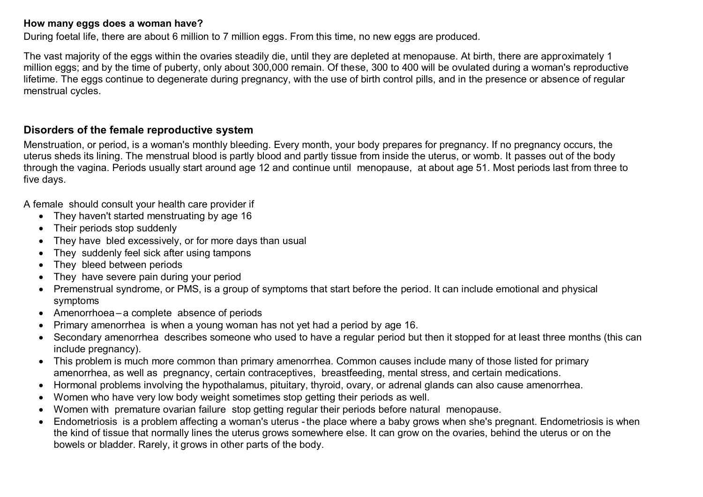#### **How many eggs does a woman have?**

During foetal life, there are about 6 million to 7 million eggs. From this time, no new eggs are produced.

The vast majority of the eggs within the ovaries steadily die, until they are depleted at menopause. At birth, there are approximately 1 million eggs; and by the time of puberty, only about 300,000 remain. Of these, 300 to 400 will be ovulated during a woman's reproductive lifetime. The eggs continue to degenerate during pregnancy, with the use of birth control pills, and in the presence or absence of regular menstrual cycles.

## **Disorders of the female reproductive system**

Menstruation, or period, is a woman's monthly bleeding. Every month, your body prepares for pregnancy. If no pregnancy occurs, the uterus sheds its lining. The menstrual blood is partly blood and partly tissue from inside the uterus, or womb. It passes out of the body through the vagina. Periods usually start around age 12 and continue until menopause, at about age 51. Most periods last from three to five days.

A female should consult your health care provider if

- They haven't started menstruating by age 16
- Their periods stop suddenly
- They have bled excessively, or for more days than usual
- They suddenly feel sick after using tampons
- They bleed between periods
- They have severe pain during your period
- Premenstrual syndrome, or PMS, is a group of symptoms that start before the period. It can include emotional and physical symptoms
- Amenorrhoea a complete absence of periods
- Primary amenorrhea is when a young woman has not yet had a period by age 16.
- Secondary amenorrhea describes someone who used to have a regular period but then it stopped for at least three months (this can include pregnancy).
- This problem is much more common than primary amenorrhea. Common causes include many of those listed for primary amenorrhea, as well as pregnancy, certain contraceptives, breastfeeding, mental stress, and certain medications.
- Hormonal problems involving the hypothalamus, pituitary, thyroid, ovary, or adrenal glands can also cause amenorrhea.
- Women who have very low body weight sometimes stop getting their periods as well.
- Women with premature ovarian failure stop getting regular their periods before natural menopause.
- Endometriosis is a problem affecting a woman's uterus -the place where a baby grows when she's pregnant. Endometriosis is when the kind of tissue that normally lines the uterus grows somewhere else. It can grow on the ovaries, behind the uterus or on the bowels or bladder. Rarely, it grows in other parts of the body.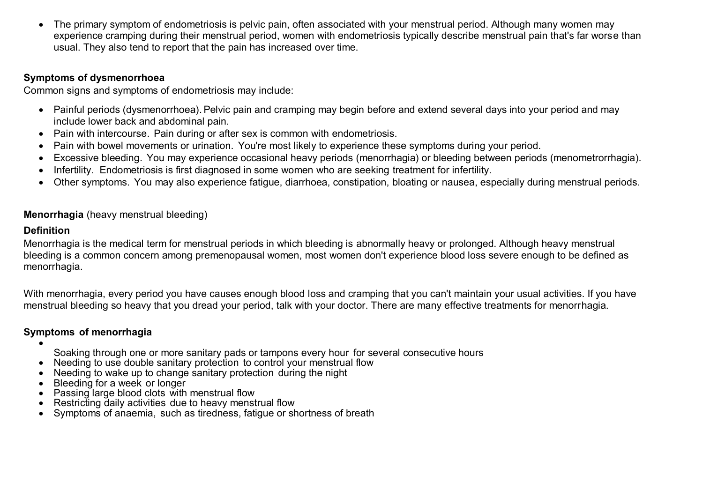The primary symptom of endometriosis is pelvic pain, often associated with your menstrual period. Although many women may experience cramping during their menstrual period, women with endometriosis typically describe menstrual pain that's far worse than usual. They also tend to report that the pain has increased over time.

### **Symptoms of dysmenorrhoea**

Common signs and symptoms of endometriosis may include:

- Painful periods (dysmenorrhoea). Pelvic pain and cramping may begin before and extend several days into your period and may include lower back and abdominal pain.
- Pain with intercourse. Pain during or after sex is common with endometriosis.
- Pain with bowel movements or urination. You're most likely to experience these symptoms during your period.
- Excessive bleeding. You may experience occasional heavy periods (menorrhagia) or bleeding between periods (menometrorrhagia).
- Infertility. Endometriosis is first diagnosed in some women who are seeking treatment for infertility.
- Other symptoms. You may also experience fatigue, diarrhoea, constipation, bloating or nausea, especially during menstrual periods.

## **Menorrhagia** (heavy menstrual bleeding)

### **Definition**

Menorrhagia is the medical term for menstrual periods in which bleeding is abnormally heavy or prolonged. Although heavy menstrual bleeding is a common concern among premenopausal women, most women don't experience blood loss severe enough to be defined as menorrhagia.

With menorrhagia, every period you have causes enough blood loss and cramping that you can't maintain your usual activities. If you have menstrual bleeding so heavy that you dread your period, talk with your doctor. There are many effective treatments for menorrhagia.

## **Symptoms of menorrhagia**

 $\bullet$ 

- Soaking through one or more sanitary pads or tampons every hour for several consecutive hours
- Needing to use double sanitary protection to control your menstrual flow
- Needing to wake up to change sanitary protection during the night
- Bleeding for a week or longer
- Passing large blood clots with menstrual flow
- Restricting daily activities due to heavy menstrual flow
- Symptoms of anaemia, such as tiredness, fatigue or shortness of breath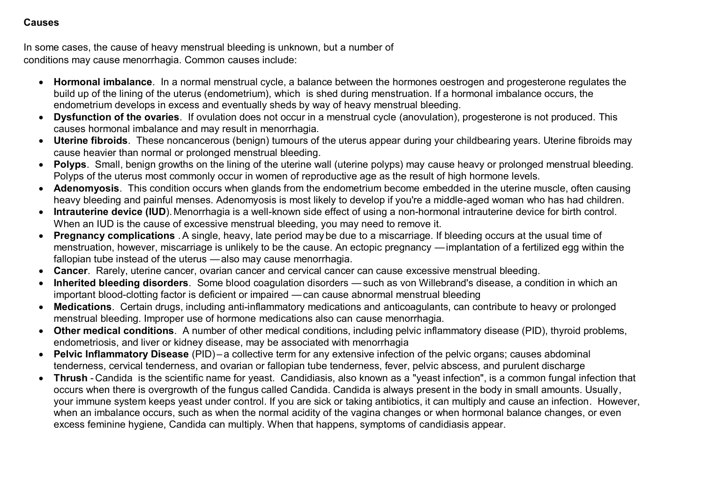#### **Causes**

In some cases, the cause of heavy menstrual bleeding is unknown, but a number of conditions may cause menorrhagia. Common causes include:

- **Hormonal imbalance**. In a normal menstrual cycle, a balance between the hormones oestrogen and progesterone regulates the build up of the lining of the uterus (endometrium), which is shed during menstruation. If a hormonal imbalance occurs, the endometrium develops in excess and eventually sheds by way of heavy menstrual bleeding.
- **Dysfunction of the ovaries**. If ovulation does not occur in a menstrual cycle (anovulation), progesterone is not produced. This causes hormonal imbalance and may result in menorrhagia.
- **Uterine fibroids**. These noncancerous (benign) tumours of the uterus appear during your childbearing years. Uterine fibroids may cause heavier than normal or prolonged menstrual bleeding.
- **Polyps**. Small, benign growths on the lining of the uterine wall (uterine polyps) may cause heavy or prolonged menstrual bleeding. Polyps of the uterus most commonly occur in women of reproductive age as the result of high hormone levels.
- **Adenomyosis**. This condition occurs when glands from the endometrium become embedded in the uterine muscle, often causing heavy bleeding and painful menses. Adenomyosis is most likely to develop if you're a middle-aged woman who has had children.
- **Intrauterine device (IUD**). Menorrhagia is a well-known side effect of using a non-hormonal intrauterine device for birth control. When an IUD is the cause of excessive menstrual bleeding, you may need to remove it.
- **Pregnancy complications** .A single, heavy, late period may be due to a miscarriage. If bleeding occurs at the usual time of menstruation, however, miscarriage is unlikely to be the cause. An ectopic pregnancy —implantation of a fertilized egg within the fallopian tube instead of the uterus —also may cause menorrhagia.
- **Cancer**. Rarely, uterine cancer, ovarian cancer and cervical cancer can cause excessive menstrual bleeding.
- **Inherited bleeding disorders**. Some blood coagulation disorders —such as von Willebrand's disease, a condition in which an important blood-clotting factor is deficient or impaired —can cause abnormal menstrual bleeding
- **Medications**. Certain drugs, including anti-inflammatory medications and anticoagulants, can contribute to heavy or prolonged menstrual bleeding. Improper use of hormone medications also can cause menorrhagia.
- **Other medical conditions**. A number of other medical conditions, including pelvic inflammatory disease (PID), thyroid problems, endometriosis, and liver or kidney disease, may be associated with menorrhagia
- **Pelvic Inflammatory Disease** (PID) a collective term for any extensive infection of the pelvic organs; causes abdominal tenderness, cervical tenderness, and ovarian or fallopian tube tenderness, fever, pelvic abscess, and purulent discharge
- **Thrush** Candida is the scientific name for yeast. Candidiasis, also known as a "yeast infection", is a common fungal infection that occurs when there is overgrowth of the fungus called Candida. Candida is always present in the body in small amounts. Usually, your immune system keeps yeast under control. If you are sick or taking antibiotics, it can multiply and cause an infection. However, when an imbalance occurs, such as when the normal acidity of the vagina changes or when hormonal balance changes, or even excess feminine hygiene, Candida can multiply. When that happens, symptoms of candidiasis appear.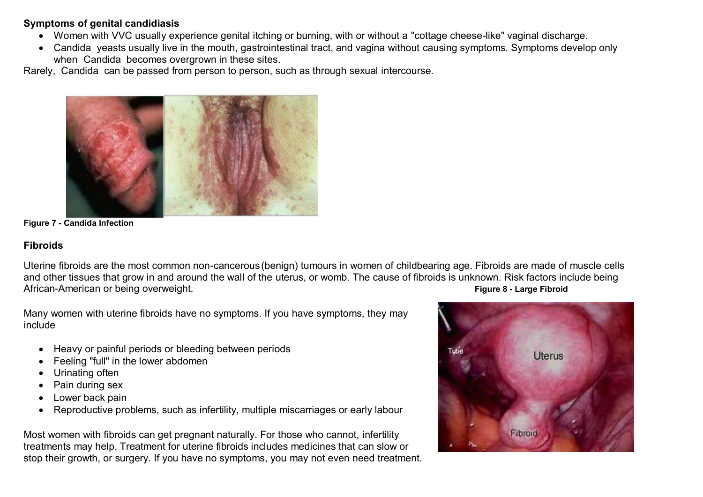#### **Symptoms of genital candidiasis**

- Women with VVC usually experience genital itching or burning, with or without a "cottage cheese-like" vaginal discharge.
- Candida yeasts usually live in the mouth, gastrointestinal tract, and vagina without causing symptoms. Symptoms develop only when Candida becomes overgrown in these sites.

Rarely, Candida can be passed from person to person, such as through sexual intercourse.



**Figure 7 - Candida Infection**

#### **Fibroids**

Uterine fibroids are the most common non-cancerous(benign) tumours in women of childbearing age. Fibroids are made of muscle cells and other tissues that grow in and around the wall of the uterus, or womb. The cause of fibroids is unknown. Risk factors include being African-American or being overweight. **Figure 8 - Large Fibroid**

Many women with uterine fibroids have no symptoms. If you have symptoms, they may include

- Heavy or painful periods or bleeding between periods
- Feeling "full" in the lower abdomen
- Urinating often
- Pain during sex
- Lower back pain
- Reproductive problems, such as infertility, multiple miscarriages or early labour

Most women with fibroids can get pregnant naturally. For those who cannot, infertility treatments may help. Treatment for uterine fibroids includes medicines that can slow or stop their growth, or surgery. If you have no symptoms, you may not even need treatment.

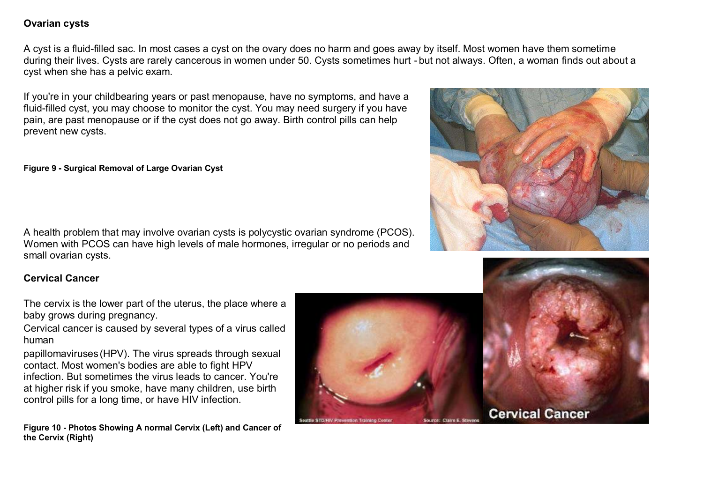### **Ovarian cysts**

A cyst is a fluid-filled sac. In most cases a cyst on the ovary does no harm and goes away by itself. Most women have them sometime during their lives. Cysts are rarely cancerous in women under 50. Cysts sometimes hurt - but not always. Often, a woman finds out about a cyst when she has a pelvic exam.

If you're in your childbearing years or past menopause, have no symptoms, and have a fluid-filled cyst, you may choose to monitor the cyst. You may need surgery if you have pain, are past menopause or if the cyst does not go away. Birth control pills can help prevent new cysts.

#### **Figure 9 - Surgical Removal of Large Ovarian Cyst**

A health problem that may involve ovarian cysts is polycystic ovarian syndrome (PCOS). Women with PCOS can have high levels of male hormones, irregular or no periods and small ovarian cysts.

### **Cervical Cancer**

The cervix is the lower part of the uterus, the place where a baby grows during pregnancy.

Cervical cancer is caused by several types of a virus called human

papillomaviruses (HPV). The virus spreads through sexual contact. Most women's bodies are able to fight HPV infection. But sometimes the virus leads to cancer. You're at higher risk if you smoke, have many children, use birth control pills for a long time, or have HIV infection.

**Figure 10 - Photos Showing A normal Cervix (Left) and Cancer of the Cervix (Right)**





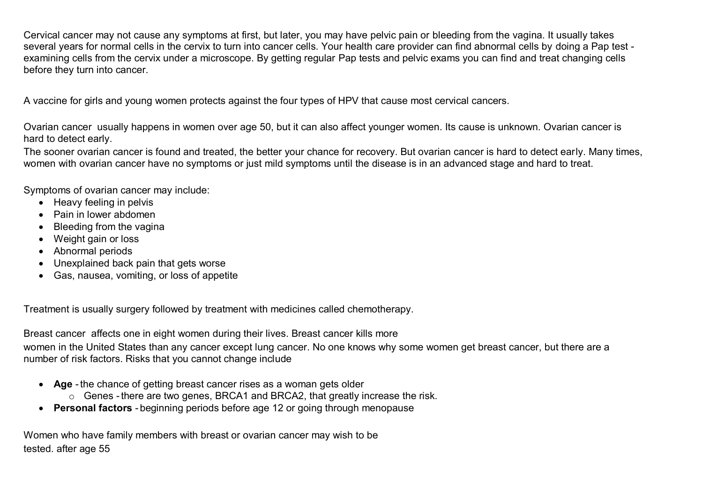Cervical cancer may not cause any symptoms at first, but later, you may have pelvic pain or bleeding from the vagina. It usually takes several years for normal cells in the cervix to turn into cancer cells. Your health care provider can find abnormal cells by doing a Pap test examining cells from the cervix under a microscope. By getting regular Pap tests and pelvic exams you can find and treat changing cells before they turn into cancer.

A vaccine for girls and young women protects against the four types of HPV that cause most cervical cancers.

Ovarian cancer usually happens in women over age 50, but it can also affect younger women. Its cause is unknown. Ovarian cancer is hard to detect early.

The sooner ovarian cancer is found and treated, the better your chance for recovery. But ovarian cancer is hard to detect early. Many times, women with ovarian cancer have no symptoms or just mild symptoms until the disease is in an advanced stage and hard to treat.

Symptoms of ovarian cancer may include:

- Heavy feeling in pelvis
- Pain in lower abdomen
- Bleeding from the vagina
- Weight gain or loss
- Abnormal periods
- Unexplained back pain that gets worse
- Gas, nausea, vomiting, or loss of appetite

Treatment is usually surgery followed by treatment with medicines called chemotherapy.

Breast cancer affects one in eight women during their lives. Breast cancer kills more

women in the United States than any cancer except lung cancer. No one knows why some women get breast cancer, but there are a number of risk factors. Risks that you cannot change include

- **Age** -the chance of getting breast cancer rises as a woman gets older
	- o Genes -there are two genes, BRCA1 and BRCA2, that greatly increase the risk.
- **Personal factors** beginning periods before age 12 or going through menopause

Women who have family members with breast or ovarian cancer may wish to be tested. after age 55